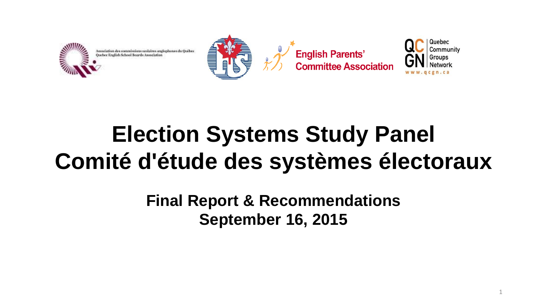



**English Parents'<br>Committee Association** 



1

# **Election Systems Study Panel Comité d'étude des systèmes électoraux**

**Final Report & Recommendations September 16, 2015**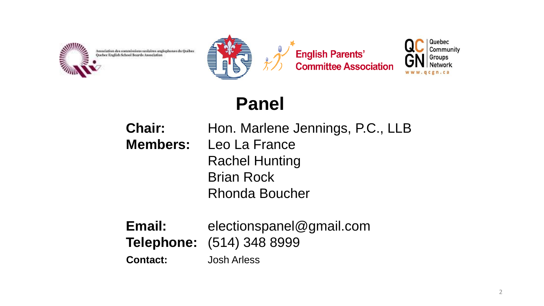

Association des commissions scolaires anglophones du Québec



**English Parents'<br>Committee Association** 



#### **Panel**

- **Chair:** Hon. Marlene Jennings, P.C., LLB **Members:** Leo La France Rachel Hunting Brian Rock Rhonda Boucher
- **Email:** electionspanel@gmail.com **Telephone:** (514) 348 8999 **Contact:** Josh Arless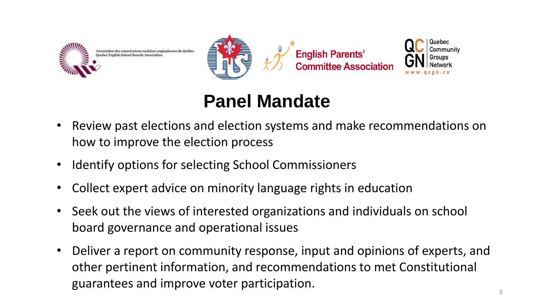



**English Parents'** 



#### **Panel Mandate**

- Review past elections and election systems and make recommendations on how to improve the election process
- Identify options for selecting School Commissioners
- Collect expert advice on minority language rights in education
- Seek out the views of interested organizations and individuals on school board governance and operational issues
- Deliver a report on community response, input and opinions of experts, and other pertinent information, and recommendations to met Constitutional guarantees and improve voter participation.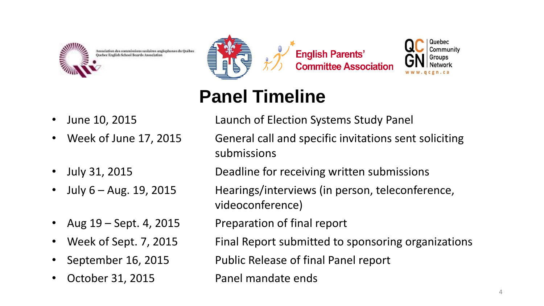



**English Parents' Committee Association** 



- 
- 
- 
- 
- 
- 
- 

# June 10, 2015 **Launch of Election Systems Study Panel**

**Panel Timeline**

- Week of June 17, 2015 General call and specific invitations sent soliciting submissions
	- July 31, 2015 Deadline for receiving written submissions
- July 6 Aug. 19, 2015 Hearings/interviews (in person, teleconference, videoconference)
	- Aug 19 Sept. 4, 2015 Preparation of final report
	- Week of Sept. 7, 2015 Final Report submitted to sponsoring organizations

• September 16, 2015 Public Release of final Panel report

October 31, 2015 **Panel mandate ends**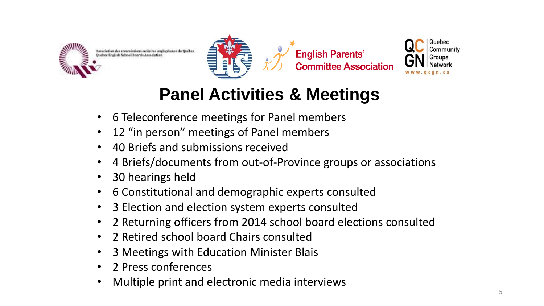



**English Parents' Committee Association** 



#### **Panel Activities & Meetings**

- 6 Teleconference meetings for Panel members
- 12 "in person" meetings of Panel members
- 40 Briefs and submissions received
- 4 Briefs/documents from out-of-Province groups or associations
- 30 hearings held
- 6 Constitutional and demographic experts consulted
- 3 Election and election system experts consulted
- 2 Returning officers from 2014 school board elections consulted
- 2 Retired school board Chairs consulted
- 3 Meetings with Education Minister Blais
- 2 Press conferences
- Multiple print and electronic media interviews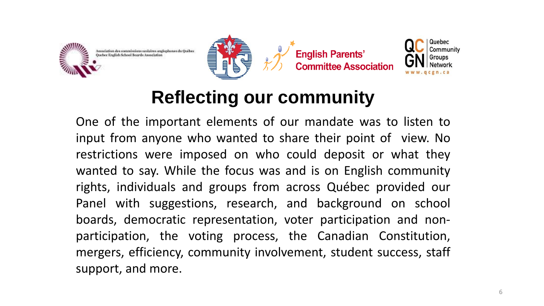







# **Reflecting our community**

One of the important elements of our mandate was to listen to input from anyone who wanted to share their point of view. No restrictions were imposed on who could deposit or what they wanted to say. While the focus was and is on English community rights, individuals and groups from across Québec provided our Panel with suggestions, research, and background on school boards, democratic representation, voter participation and nonparticipation, the voting process, the Canadian Constitution, mergers, efficiency, community involvement, student success, staff support, and more.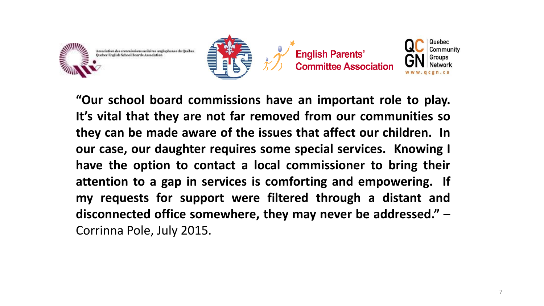







**"Our school board commissions have an important role to play. It's vital that they are not far removed from our communities so they can be made aware of the issues that affect our children. In our case, our daughter requires some special services. Knowing I have the option to contact a local commissioner to bring their attention to a gap in services is comforting and empowering. If my requests for support were filtered through a distant and disconnected office somewhere, they may never be addressed."** – Corrinna Pole, July 2015.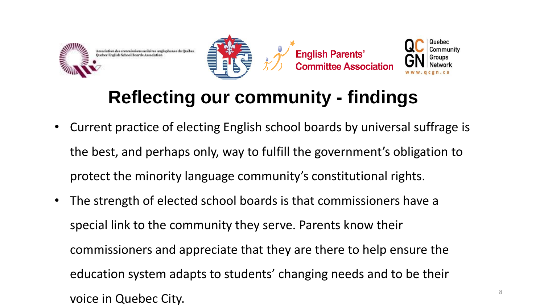







### **Reflecting our community - findings**

- Current practice of electing English school boards by universal suffrage is the best, and perhaps only, way to fulfill the government's obligation to protect the minority language community's constitutional rights.
- The strength of elected school boards is that commissioners have a special link to the community they serve. Parents know their commissioners and appreciate that they are there to help ensure the education system adapts to students' changing needs and to be their voice in Quebec City.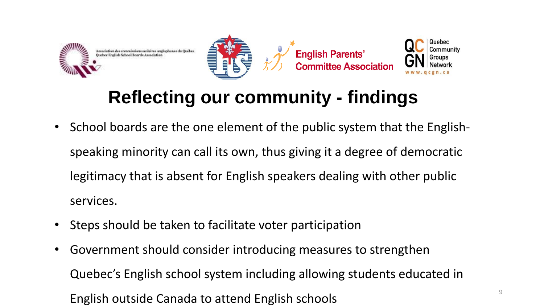







# **Reflecting our community - findings**

- School boards are the one element of the public system that the Englishspeaking minority can call its own, thus giving it a degree of democratic legitimacy that is absent for English speakers dealing with other public services.
- Steps should be taken to facilitate voter participation
- Government should consider introducing measures to strengthen Quebec's English school system including allowing students educated in English outside Canada to attend English schools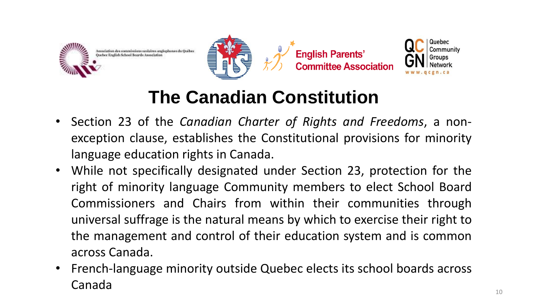







# **The Canadian Constitution**

- Section 23 of the *Canadian Charter of Rights and Freedoms*, a nonexception clause, establishes the Constitutional provisions for minority language education rights in Canada.
- While not specifically designated under Section 23, protection for the right of minority language Community members to elect School Board Commissioners and Chairs from within their communities through universal suffrage is the natural means by which to exercise their right to the management and control of their education system and is common across Canada.
- French-language minority outside Quebec elects its school boards across Canada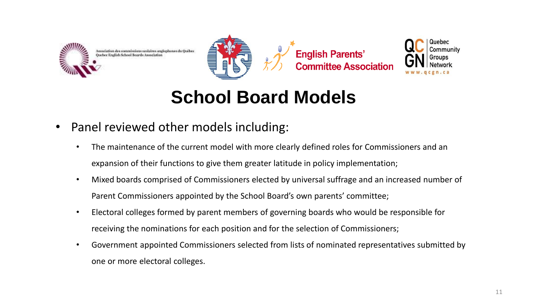







#### **School Board Models**

- Panel reviewed other models including:
	- The maintenance of the current model with more clearly defined roles for Commissioners and an expansion of their functions to give them greater latitude in policy implementation;
	- Mixed boards comprised of Commissioners elected by universal suffrage and an increased number of Parent Commissioners appointed by the School Board's own parents' committee;
	- Electoral colleges formed by parent members of governing boards who would be responsible for receiving the nominations for each position and for the selection of Commissioners;
	- Government appointed Commissioners selected from lists of nominated representatives submitted by one or more electoral colleges.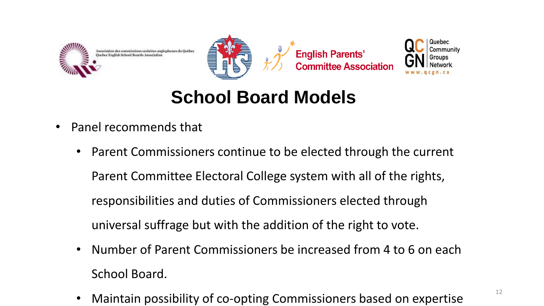







#### **School Board Models**

- Panel recommends that
	- Parent Commissioners continue to be elected through the current Parent Committee Electoral College system with all of the rights, responsibilities and duties of Commissioners elected through universal suffrage but with the addition of the right to vote.
	- Number of Parent Commissioners be increased from 4 to 6 on each School Board.
	- Maintain possibility of co-opting Commissioners based on expertise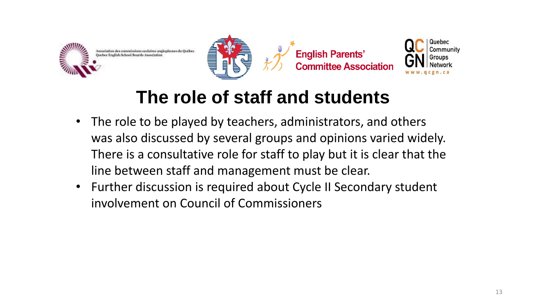



**English Parents'** \_\_.<sub>.5</sub>...............<br>Committee Associatior



#### **The role of staff and students**

- The role to be played by teachers, administrators, and others was also discussed by several groups and opinions varied widely. There is a consultative role for staff to play but it is clear that the line between staff and management must be clear.
- Further discussion is required about Cycle II Secondary student involvement on Council of Commissioners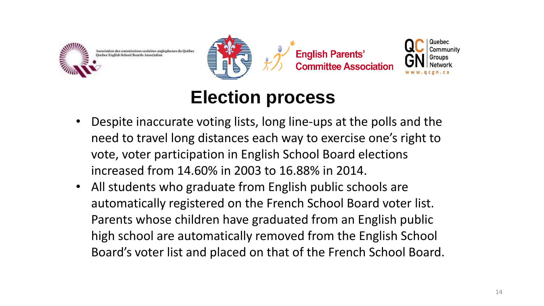







#### **Election process**

- Despite inaccurate voting lists, long line-ups at the polls and the need to travel long distances each way to exercise one's right to vote, voter participation in English School Board elections increased from 14.60% in 2003 to 16.88% in 2014.
- All students who graduate from English public schools are automatically registered on the French School Board voter list. Parents whose children have graduated from an English public high school are automatically removed from the English School Board's voter list and placed on that of the French School Board.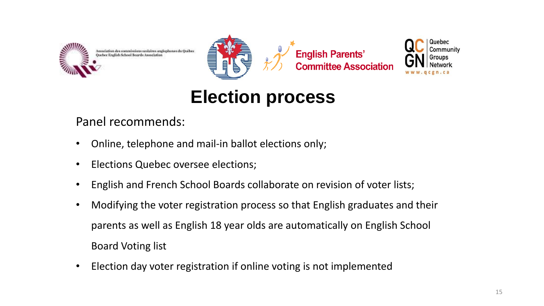







# **Election process**

Panel recommends:

- Online, telephone and mail-in ballot elections only;
- Elections Quebec oversee elections;
- English and French School Boards collaborate on revision of voter lists;
- Modifying the voter registration process so that English graduates and their parents as well as English 18 year olds are automatically on English School Board Voting list
- Election day voter registration if online voting is not implemented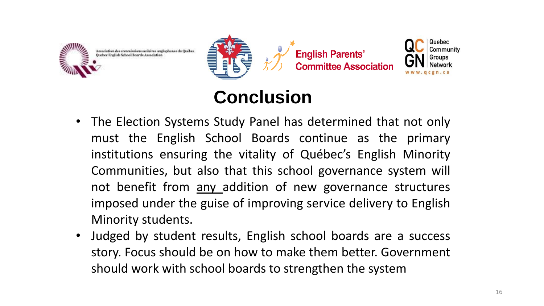









- The Election Systems Study Panel has determined that not only must the English School Boards continue as the primary institutions ensuring the vitality of Québec's English Minority Communities, but also that this school governance system will not benefit from any addition of new governance structures imposed under the guise of improving service delivery to English Minority students.
- Judged by student results, English school boards are a success story. Focus should be on how to make them better. Government should work with school boards to strengthen the system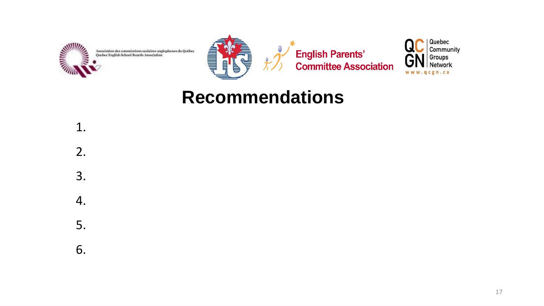



**English Parents'<br>Committee Association** 



#### **Recommendations**

- 1. 2. 3. 4. 5.
- 6.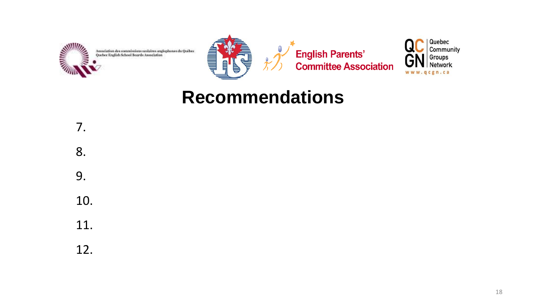



**English Parents'<br>Committee Association** 



#### **Recommendations**

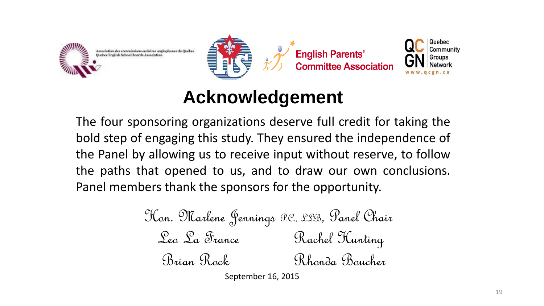







#### **Acknowledgement**

The four sponsoring organizations deserve full credit for taking the bold step of engaging this study. They ensured the independence of the Panel by allowing us to receive input without reserve, to follow the paths that opened to us, and to draw our own conclusions. Panel members thank the sponsors for the opportunity.

Hon. Marlene Jennings P.C., LLB, Panel Chair Leo La France Rachel Hunting Brian Rock Rhonda Boucher

September 16, 2015